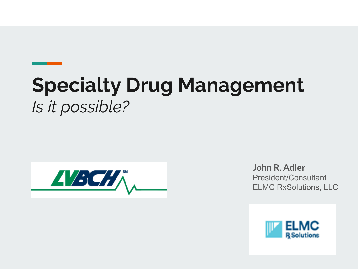# **Specialty Drug Management** *Is it possible?*



**John R. Adler** President/Consultant ELMC RxSolutions, LLC

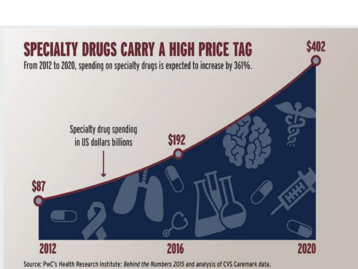

Source: PwC's Health Research Institute: Behind the Numbers 2015 and analysis of CVS Caremark data.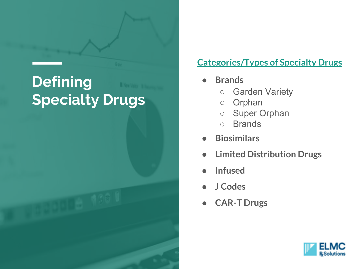### **Defining Specialty Drugs**

#### **Categories/Types of Specialty Drugs**

- **Brands**
	- Garden Variety
	- Orphan
	- Super Orphan
	- Brands
- **Biosimilars**
- **Limited Distribution Drugs**
- **Infused**
- **J Codes**
- **CAR-T Drugs**

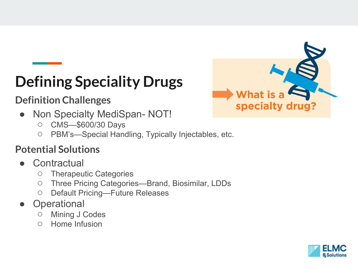## **Defining Speciality Drugs**

#### **Definition Challenges**

- Non Specialty MediSpan- NOT!
	- CMS—\$600/30 Days
	- PBM's—Special Handling, Typically Injectables, etc.

#### **Potential Solutions**

- Contractual
	- Therapeutic Categories
	- Three Pricing Categories—Brand, Biosimilar, LDDs
	- Default Pricing—Future Releases
- **Operational** 
	- Mining J Codes
	- Home Infusion



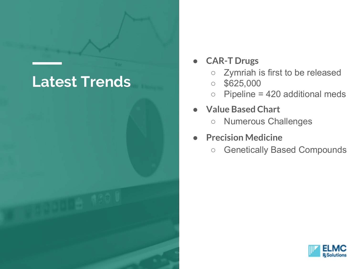

● **CAR-T Drugs**

- Zymriah is first to be released
- $\circ$  \$625,000
- $\circ$  Pipeline = 420 additional meds
- **Value Based Chart**
	- Numerous Challenges
- **Precision Medicine** 
	- Genetically Based Compounds

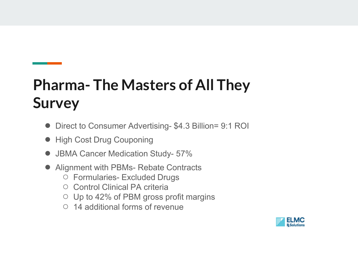## **Pharma- The Masters of All They Survey**

- Direct to Consumer Advertising- \$4.3 Billion= 9:1 ROI
- High Cost Drug Couponing
- JBMA Cancer Medication Study- 57%
- Alignment with PBMs- Rebate Contracts
	- Formularies- Excluded Drugs
	- Control Clinical PA criteria
	- Up to 42% of PBM gross profit margins
	- 14 additional forms of revenue

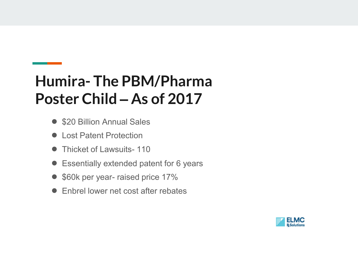### **Humira- The PBM/Pharma Poster Child – As of 2017**

- \$20 Billion Annual Sales
- Lost Patent Protection
- Thicket of Lawsuits-110
- Essentially extended patent for 6 years
- \$60k per year- raised price 17%
- Enbrel lower net cost after rebates

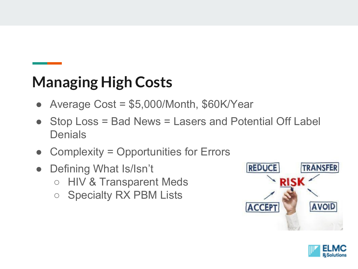### **Managing High Costs**

- Average  $Cost = $5,000/Month, $60K/Year$
- Stop Loss = Bad News = Lasers and Potential Off Label **Denials**
- Complexity = Opportunities for Errors
- Defining What Is/Isn't ○ HIV & Transparent Meds
	- Specialty RX PBM Lists



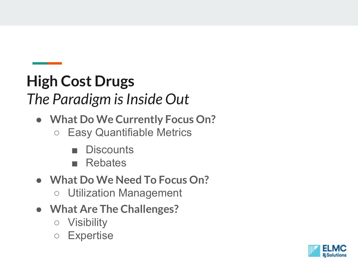### **High Cost Drugs** *The Paradigm is Inside Out*

- **What Do We Currently Focus On?**
	- Easy Quantifiable Metrics
		- Discounts
		- Rebates
- **What Do We Need To Focus On?**
	- Utilization Management
- **What Are The Challenges?**
	- Visibility
	- Expertise

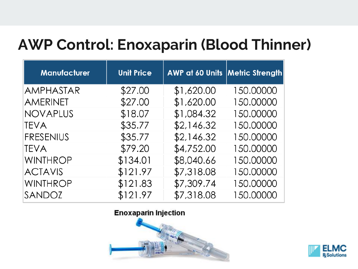#### **AWP Control: Enoxaparin (Blood Thinner)**

| <b>Manufacturer</b> | <b>Unit Price</b> | <b>AWP at 60 Units Metric Strength</b> |           |
|---------------------|-------------------|----------------------------------------|-----------|
| AMPHASTAR           | \$27.00           | \$1,620.00                             | 150.00000 |
| <b>AMERINET</b>     | \$27.00           | \$1,620.00                             | 150.00000 |
| <b>NOVAPLUS</b>     | \$18.07           | \$1,084.32                             | 150.00000 |
| <b>TEVA</b>         | \$35.77           | \$2,146.32                             | 150.00000 |
| <b>FRESENIUS</b>    | \$35.77           | \$2,146.32                             | 150.00000 |
| <b>TEVA</b>         | \$79.20           | \$4,752.00                             | 150.00000 |
| <b>WINTHROP</b>     | \$134.01          | \$8,040.66                             | 150.00000 |
| <b>ACTAVIS</b>      | \$121.97          | \$7,318.08                             | 150.00000 |
| <b>WINTHROP</b>     | \$121.83          | \$7,309.74                             | 150.00000 |
| SANDOZ              | \$121.97          | \$7,318.08                             | 150.00000 |

#### **Enoxaparin Injection**



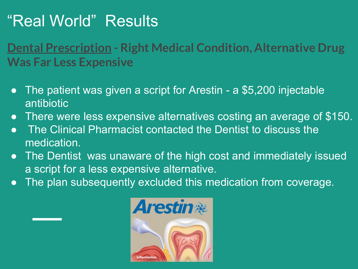### "Real World" Results

#### **Dental Prescription - Right Medical Condition, Alternative Drug Was Far Less Expensive**

- The patient was given a script for Arestin a \$5,200 injectable antibiotic
- There were less expensive alternatives costing an average of \$150.
- **The Clinical Pharmacist contacted the Dentist to discuss the** medication.
- The Dentist was unaware of the high cost and immediately issued a script for a less expensive alternative.
- **The plan subsequently excluded this medication from coverage.**

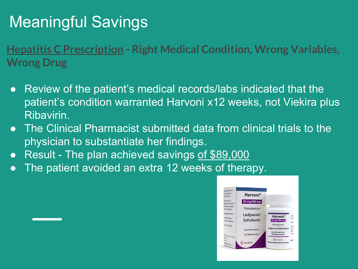## Meaningful Savings

**Hepatitis C Prescription - Right Medical Condition, Wrong Variables, Wrong Drug** 

- Review of the patient's medical records/labs indicated that the patient's condition warranted Harvoni x12 weeks, not Viekira plus Ribavirin.
- The Clinical Pharmacist submitted data from clinical trials to the physician to substantiate her findings.
- Result The plan achieved savings of \$89,000
- The patient avoided an extra 12 weeks of therapy.

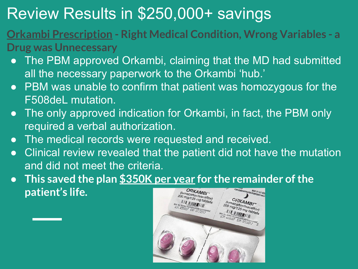## Review Results in \$250,000+ savings

- **Orkambi Prescription - Right Medical Condition, Wrong Variables - a Drug was Unnecessary**
	- The PBM approved Orkambi, claiming that the MD had submitted all the necessary paperwork to the Orkambi 'hub.'
	- PBM was unable to confirm that patient was homozygous for the F508deL mutation.
	- The only approved indication for Orkambi, in fact, the PBM only required a verbal authorization.
	- The medical records were requested and received.
	- Clinical review revealed that the patient did not have the mutation and did not meet the criteria.
	- **This saved the plan \$350K per year for the remainder of the patient's life.** ORKAMBI<sup>®</sup>

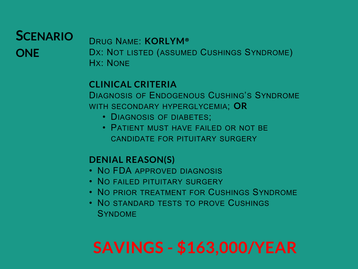#### **SCENARIO ONE**

DRUG NAME: **KORLYM®** DX: NOT LISTED (ASSUMED CUSHINGS SYNDROME) HX: NONE

#### **CLINICAL CRITERIA**

DIAGNOSIS OF ENDOGENOUS CUSHING'S SYNDROME WITH SECONDARY HYPERGLYCEMIA; **OR** 

- DIAGNOSIS OF DIABETES;
- PATIFNT MUST HAVE FAILED OR NOT BE CANDIDATE FOR PITUITARY SURGERY

#### **DENIAL REASON(S)**

- NO FDA APPROVED DIAGNOSIS
- NO FAILED PITUITARY SURGERY
- NO PRIOR TREATMENT FOR CUSHINGS SYNDROME
- NO STANDARD TESTS TO PROVE CUSHINGS SYNDOME

# **SAVINGS - \$163,000/YEAR**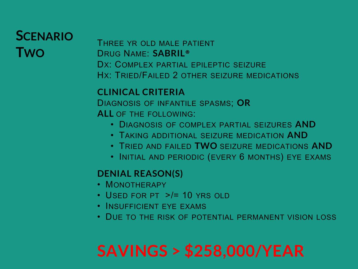#### **SCENARIO TWO**

THREE YR OLD MALE PATIENT DRUG NAME: **SABRIL®** DX: COMPLEX PARTIAL EPILEPTIC SEIZURE HX: TRIED/FAILED 2 OTHER SEIZURE MEDICATIONS

#### **CLINICAL CRITERIA**  DIAGNOSIS OF INFANTILE SPASMS; **OR ALL** OF THE FOLLOWING:

- DIAGNOSIS OF COMPLEX PARTIAL SEIZURES **AND**
- TAKING ADDITIONAL SEIZURE MEDICATION **AND**
- TRIED AND FAILED **TWO** SEIZURE MEDICATIONS **AND**
- INITIAL AND PERIODIC (EVERY 6 MONTHS) EYE EXAMS

#### **DENIAL REASON(S)**

- MONOTHERAPY
- USED FOR PT >/= 10 YRS OLD
- INSUFFICIENT EYE EXAMS
- DUE TO THE RISK OF POTENTIAL PERMANENT VISION LOSS

# **SAVINGS > \$258,000/YEAR**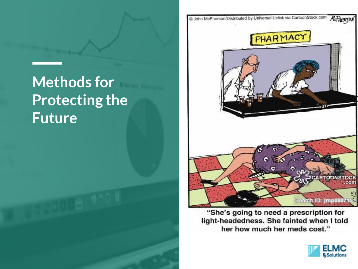## **Methods for Protecting the Future**



"She's going to need a prescription for light-headedness. She fainted when I told her how much her meds cost."

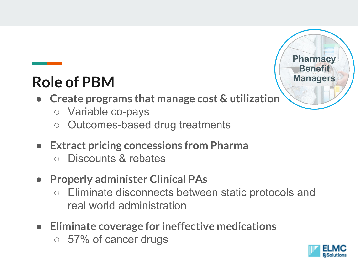### **Role of PBM**

- **Create programs that manage cost & utilization**
	- Variable co-pays
	- Outcomes-based drug treatments
- **Extract pricing concessions from Pharma**
	- Discounts & rebates
- **Properly administer Clinical PAs** 
	- Eliminate disconnects between static protocols and real world administration
- **Eliminate coverage for ineffective medications**
	- 57% of cancer drugs



**Pharmacy Benefit** 

**Managers**